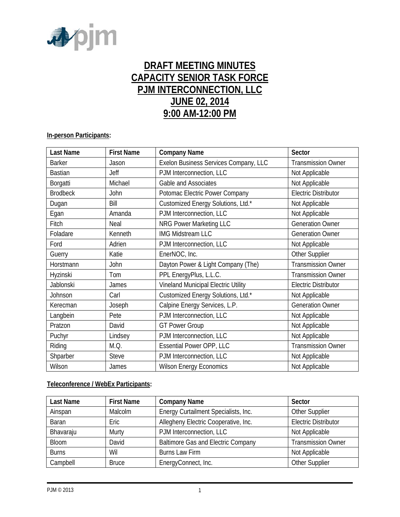

# **DRAFT MEETING MINUTES CAPACITY SENIOR TASK FORCE PJM INTERCONNECTION, LLC JUNE 02, 2014 9:00 AM-12:00 PM**

# **In-person Participants:**

| <b>Last Name</b> | <b>First Name</b> | <b>Company Name</b>                   | Sector                      |
|------------------|-------------------|---------------------------------------|-----------------------------|
| <b>Barker</b>    | Jason             | Exelon Business Services Company, LLC | <b>Transmission Owner</b>   |
| <b>Bastian</b>   | Jeff              | PJM Interconnection, LLC              | Not Applicable              |
| Borgatti         | Michael           | Gable and Associates                  | Not Applicable              |
| <b>Brodbeck</b>  | John              | Potomac Electric Power Company        | <b>Electric Distributor</b> |
| Dugan            | Bill              | Customized Energy Solutions, Ltd.*    | Not Applicable              |
| Egan             | Amanda            | PJM Interconnection, LLC              | Not Applicable              |
| Fitch            | Neal              | NRG Power Marketing LLC               | <b>Generation Owner</b>     |
| Foladare         | Kenneth           | <b>IMG Midstream LLC</b>              | <b>Generation Owner</b>     |
| Ford             | Adrien            | PJM Interconnection, LLC              | Not Applicable              |
| Guerry           | Katie             | EnerNOC, Inc.                         | Other Supplier              |
| Horstmann        | John              | Dayton Power & Light Company (The)    | <b>Transmission Owner</b>   |
| Hyzinski         | Tom               | PPL EnergyPlus, L.L.C.                | <b>Transmission Owner</b>   |
| Jablonski        | James             | Vineland Municipal Electric Utility   | <b>Electric Distributor</b> |
| Johnson          | Carl              | Customized Energy Solutions, Ltd.*    | Not Applicable              |
| Kerecman         | Joseph            | Calpine Energy Services, L.P.         | <b>Generation Owner</b>     |
| Langbein         | Pete              | PJM Interconnection, LLC              | Not Applicable              |
| Pratzon          | David             | <b>GT Power Group</b>                 | Not Applicable              |
| Puchyr           | Lindsey           | PJM Interconnection, LLC              | Not Applicable              |
| Riding           | M.Q.              | Essential Power OPP, LLC              | <b>Transmission Owner</b>   |
| Shparber         | <b>Steve</b>      | PJM Interconnection, LLC              | Not Applicable              |
| Wilson           | James             | <b>Wilson Energy Economics</b>        | Not Applicable              |

# **Teleconference / WebEx Participants:**

| Last Name    | <b>First Name</b> | <b>Company Name</b>                       | Sector                      |
|--------------|-------------------|-------------------------------------------|-----------------------------|
| Ainspan      | Malcolm           | Energy Curtailment Specialists, Inc.      | Other Supplier              |
| Baran        | Eric              | Allegheny Electric Cooperative, Inc.      | <b>Electric Distributor</b> |
| Bhavaraju    | Murty             | PJM Interconnection, LLC                  | Not Applicable              |
| Bloom        | David             | <b>Baltimore Gas and Electric Company</b> | <b>Transmission Owner</b>   |
| <b>Burns</b> | Wil               | Burns Law Firm                            | Not Applicable              |
| Campbell     | <b>Bruce</b>      | EnergyConnect, Inc.                       | Other Supplier              |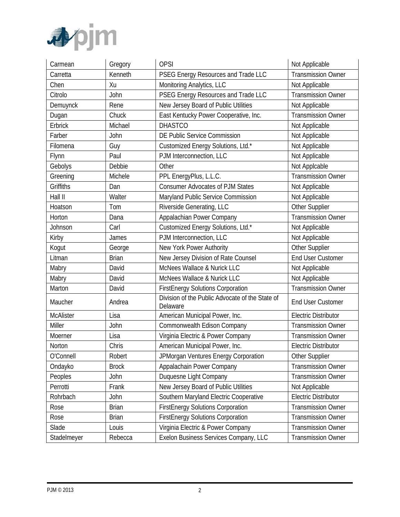

| Carmean          | Gregory      | <b>OPSI</b>                                                      | Not Applicable              |
|------------------|--------------|------------------------------------------------------------------|-----------------------------|
| Carretta         | Kenneth      | PSEG Energy Resources and Trade LLC<br><b>Transmission Owner</b> |                             |
| Chen             | Xu           | Monitoring Analytics, LLC                                        | Not Applicable              |
| Citrolo          | John         | PSEG Energy Resources and Trade LLC                              | <b>Transmission Owner</b>   |
| Demuynck         | Rene         | New Jersey Board of Public Utilities                             | Not Applicable              |
| Dugan            | Chuck        | East Kentucky Power Cooperative, Inc.                            | <b>Transmission Owner</b>   |
| Erbrick          | Michael      | <b>DHASTCO</b>                                                   | Not Applicable              |
| Farber           | John         | DE Public Service Commission                                     | Not Applicable              |
| Filomena         | Guy          | Customized Energy Solutions, Ltd.*                               | Not Applicable              |
| Flynn            | Paul         | PJM Interconnection, LLC                                         | Not Applicable              |
| Gebolys          | Debbie       | Other                                                            | Not Applcable               |
| Greening         | Michele      | PPL EnergyPlus, L.L.C.                                           | <b>Transmission Owner</b>   |
| Griffiths        | Dan          | <b>Consumer Advocates of PJM States</b>                          | Not Applicable              |
| Hall II          | Walter       | Maryland Public Service Commission                               | Not Applicable              |
| Hoatson          | Tom          | Riverside Generating, LLC                                        | Other Supplier              |
| Horton           | Dana         | Appalachian Power Company                                        | <b>Transmission Owner</b>   |
| Johnson          | Carl         | Customized Energy Solutions, Ltd.*                               | Not Applicable              |
| Kirby            | James        | PJM Interconnection, LLC                                         | Not Applicable              |
| Kogut            | George       | New York Power Authority                                         | Other Supplier              |
| Litman           | <b>Brian</b> | New Jersey Division of Rate Counsel                              | <b>End User Customer</b>    |
| Mabry            | David        | McNees Wallace & Nurick LLC                                      | Not Applicable              |
| Mabry            | David        | McNees Wallace & Nurick LLC                                      | Not Applicable              |
| Marton           | David        | <b>FirstEnergy Solutions Corporation</b>                         | <b>Transmission Owner</b>   |
| Maucher          | Andrea       | Division of the Public Advocate of the State of<br>Delaware      | <b>End User Customer</b>    |
| <b>McAlister</b> | Lisa         | American Municipal Power, Inc.                                   | <b>Electric Distributor</b> |
| Miller           | John         | Commonwealth Edison Company                                      | <b>Transmission Owner</b>   |
| Moerner          | Lisa         | Virginia Electric & Power Company                                | <b>Transmission Owner</b>   |
| Norton           | Chris        | American Municipal Power, Inc.                                   | <b>Electric Distributor</b> |
| O'Connell        | Robert       | JPMorgan Ventures Energy Corporation                             | Other Supplier              |
| Ondayko          | <b>Brock</b> | Appalachain Power Company                                        | <b>Transmission Owner</b>   |
| Peoples          | John         | Duquesne Light Company                                           | <b>Transmission Owner</b>   |
| Perrotti         | Frank        | New Jersey Board of Public Utilities                             | Not Applicable              |
| Rohrbach         | John         | Southern Maryland Electric Cooperative                           | <b>Electric Distributor</b> |
| Rose             | <b>Brian</b> | <b>FirstEnergy Solutions Corporation</b>                         | <b>Transmission Owner</b>   |
| Rose             | <b>Brian</b> | <b>FirstEnergy Solutions Corporation</b>                         | <b>Transmission Owner</b>   |
| Slade            | Louis        | Virginia Electric & Power Company                                | <b>Transmission Owner</b>   |
| Stadelmeyer      | Rebecca      | Exelon Business Services Company, LLC                            | <b>Transmission Owner</b>   |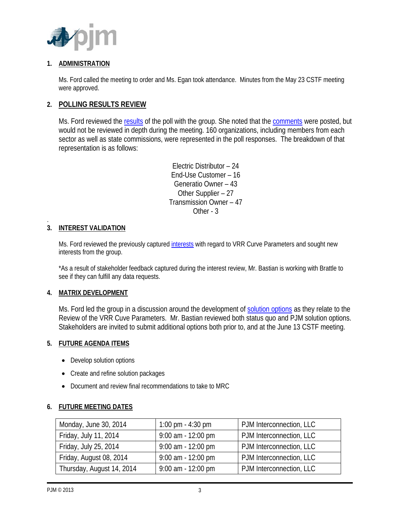

# **1. ADMINISTRATION**

Ms. Ford called the meeting to order and Ms. Egan took attendance. Minutes from the May 23 CSTF meeting were approved.

# **2. POLLING RESULTS REVIEW**

Ms. Ford reviewed the [results](http://www.pjm.com/~/media/committees-groups/task-forces/cstf/20140602/20140602-may-2014-polling-results.ashx) of the poll with the group. She noted that the [comments](http://www.pjm.com/~/media/committees-groups/task-forces/cstf/20140602/20140602-poll-stakeholder-comments.ashx) were posted, but would not be reviewed in depth during the meeting. 160 organizations, including members from each sector as well as state commissions, were represented in the poll responses. The breakdown of that representation is as follows:

> Electric Distributor – 24 End-Use Customer – 16 Generatio Owner – 43 Other Supplier – 27 Transmission Owner – 47 Other - 3

#### . **3. INTEREST VALIDATION**

Ms. Ford reviewed the previously captured [interests](http://www.pjm.com/~/media/committees-groups/task-forces/cstf/20140602/20140602-quadrennial-review-of-vrr-curve-parameters-matrix.ashx) with regard to VRR Curve Parameters and sought new interests from the group.

\*As a result of stakeholder feedback captured during the interest review, Mr. Bastian is working with Brattle to see if they can fulfill any data requests.

# **4. MATRIX DEVELOPMENT**

Ms. Ford led the group in a discussion around the development of [solution options](http://www.pjm.com/~/media/committees-groups/task-forces/cstf/20140602/20140602-quadrennial-review-of-vrr-curve-parameters-matrix.ashx) as they relate to the Review of the VRR Cuve Parameters. Mr. Bastian reviewed both status quo and PJM solution options. Stakeholders are invited to submit additional options both prior to, and at the June 13 CSTF meeting.

# **5. FUTURE AGENDA ITEMS**

- Develop solution options
- Create and refine solution packages
- Document and review final recommendations to take to MRC

# **6. FUTURE MEETING DATES**

| Monday, June 30, 2014     | 1:00 pm $-$ 4:30 pm  | PJM Interconnection, LLC |
|---------------------------|----------------------|--------------------------|
| Friday, July 11, 2014     | 9:00 am - 12:00 pm   | PJM Interconnection, LLC |
| Friday, July 25, 2014     | $9:00$ am - 12:00 pm | PJM Interconnection, LLC |
| Friday, August 08, 2014   | $9:00$ am - 12:00 pm | PJM Interconnection, LLC |
| Thursday, August 14, 2014 | $9:00$ am - 12:00 pm | PJM Interconnection, LLC |